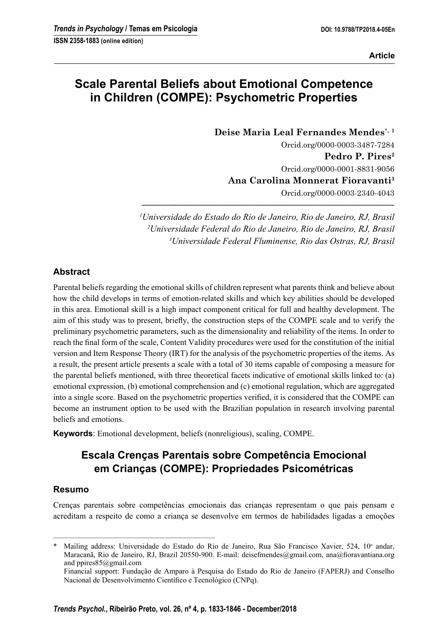**Article**

# **Scale Parental Beliefs about Emotional Competence in Children (COMPE): Psychometric Properties**

**Deise Maria Leal Fernandes Mendes**\***, <sup>1</sup>** Orcid.org/0000-0003-3487-7284 **Pedro P. Pires2** Orcid.org/0000-0001-8831-9056 **Ana Carolina Monnerat Fioravanti3** Orcid.org/0000-0003-2340-4043

 *1 Universidade do Estado do Rio de Janeiro, Rio de Janeiro, RJ, Brasil 2 Universidade Federal do Rio de Janeiro, Rio de Janeiro, RJ, Brasil 3 Universidade Federal Fluminense, Rio das Ostras, RJ, Brasil*

**––––––––––––––––––––––––––––––––––––––––––––––––––––––––**

## **Abstract**

Parental beliefs regarding the emotional skills of children represent what parents think and believe about how the child develops in terms of emotion-related skills and which key abilities should be developed in this area. Emotional skill is a high impact component critical for full and healthy development. The aim of this study was to present, briefly, the construction steps of the COMPE scale and to verify the preliminary psychometric parameters, such as the dimensionality and reliability of the items. In order to reach the final form of the scale, Content Validity procedures were used for the constitution of the initial version and Item Response Theory (IRT) for the analysis of the psychometric properties of the items. As a result, the present article presents a scale with a total of 30 items capable of composing a measure for the parental beliefs mentioned, with three theoretical facets indicative of emotional skills linked to: (a) emotional expression, (b) emotional comprehension and (c) emotional regulation, which are aggregated into a single score. Based on the psychometric properties verified, it is considered that the COMPE can become an instrument option to be used with the Brazilian population in research involving parental beliefs and emotions.

**Keywords**: Emotional development, beliefs (nonreligious), scaling, COMPE.

# **Escala Crenças Parentais sobre Competência Emocional em Crianças (COMPE): Propriedades Psicométricas**

### **Resumo**

Crenças parentais sobre competências emocionais das crianças representam o que pais pensam e acreditam a respeito de como a criança se desenvolve em termos de habilidades ligadas a emoções

–––––––––––––––––––––––––––––––––––––––––––

<sup>\*</sup> Mailing address: Universidade do Estado do Rio de Janeiro, Rua São Francisco Xavier, 524, 10<sup>°</sup> andar, Maracanã, Rio de Janeiro, RJ, Brazil 20550-900. E-mail: deisefmendes@gmail.com, ana@fioravantiana.org and ppires85@gmail.com

Financial support: Fundação de Amparo à Pesquisa do Estado do Rio de Janeiro (FAPERJ) and Conselho Nacional de Desenvolvimento Científico e Tecnológico (CNPq).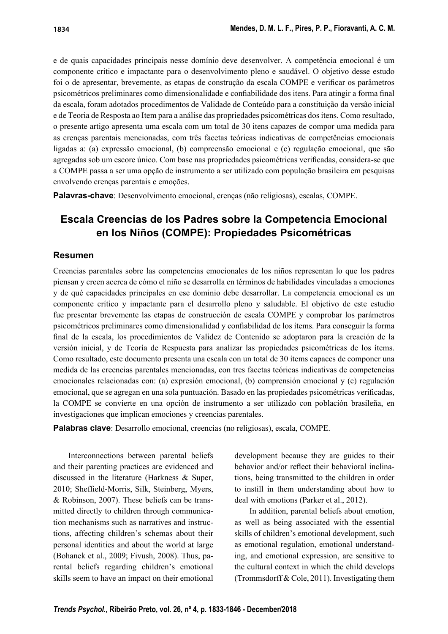e de quais capacidades principais nesse domínio deve desenvolver. A competência emocional é um componente crítico e impactante para o desenvolvimento pleno e saudável. O objetivo desse estudo foi o de apresentar, brevemente, as etapas de construção da escala COMPE e verificar os parâmetros psicométricos preliminares como dimensionalidade e confiabilidade dos itens. Para atingir a forma final da escala, foram adotados procedimentos de Validade de Conteúdo para a constituição da versão inicial e de Teoria de Resposta ao Item para a análise das propriedades psicométricas dos itens. Como resultado, o presente artigo apresenta uma escala com um total de 30 itens capazes de compor uma medida para as crenças parentais mencionadas, com três facetas teóricas indicativas de competências emocionais ligadas a: (a) expressão emocional, (b) compreensão emocional e (c) regulação emocional, que são agregadas sob um escore único. Com base nas propriedades psicométricas verificadas, considera-se que a COMPE passa a ser uma opção de instrumento a ser utilizado com população brasileira em pesquisas envolvendo crenças parentais e emoções.

**Palavras-chave**: Desenvolvimento emocional, crenças (não religiosas), escalas, COMPE.

# **Escala Creencias de los Padres sobre la Competencia Emocional en los Niños (COMPE): Propiedades Psicométricas**

### **Resumen**

Creencias parentales sobre las competencias emocionales de los niños representan lo que los padres piensan y creen acerca de cómo el niño se desarrolla en términos de habilidades vinculadas a emociones y de qué capacidades principales en ese dominio debe desarrollar. La competencia emocional es un componente crítico y impactante para el desarrollo pleno y saludable. El objetivo de este estudio fue presentar brevemente las etapas de construcción de escala COMPE y comprobar los parámetros psicométricos preliminares como dimensionalidad y confiabilidad de los ítems. Para conseguir la forma fi nal de la escala, los procedimientos de Validez de Contenido se adoptaron para la creación de la versión inicial, y de Teoría de Respuesta para analizar las propiedades psicométricas de los ítems. Como resultado, este documento presenta una escala con un total de 30 ítems capaces de componer una medida de las creencias parentales mencionadas, con tres facetas teóricas indicativas de competencias emocionales relacionadas con: (a) expresión emocional, (b) comprensión emocional y (c) regulación emocional, que se agregan en una sola puntuación. Basado en las propiedades psicométricas verificadas, la COMPE se convierte en una opción de instrumento a ser utilizado con población brasileña, en investigaciones que implican emociones y creencias parentales.

**Palabras clave**: Desarrollo emocional, creencias (no religiosas), escala, COMPE.

Interconnections between parental beliefs and their parenting practices are evidenced and discussed in the literature (Harkness & Super, 2010; Sheffield-Morris, Silk, Steinberg, Myers, & Robinson, 2007). These beliefs can be transmitted directly to children through communication mechanisms such as narratives and instructions, affecting children's schemas about their personal identities and about the world at large (Bohanek et al., 2009; Fivush, 2008). Thus, parental beliefs regarding children's emotional skills seem to have an impact on their emotional development because they are guides to their behavior and/or reflect their behavioral inclinations, being transmitted to the children in order to instill in them understanding about how to deal with emotions (Parker et al., 2012).

In addition, parental beliefs about emotion, as well as being associated with the essential skills of children's emotional development, such as emotional regulation, emotional understanding, and emotional expression, are sensitive to the cultural context in which the child develops (Trommsdorff & Cole, 2011). Investigating them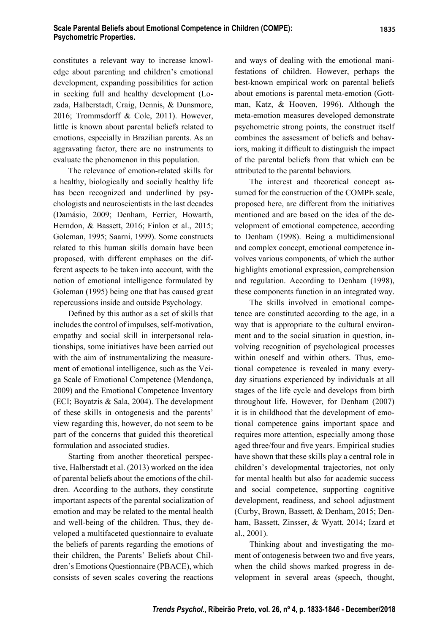constitutes a relevant way to increase knowledge about parenting and children's emotional development, expanding possibilities for action in seeking full and healthy development (Lozada, Halberstadt, Craig, Dennis, & Dunsmore, 2016; Trommsdorff & Cole, 2011). However, little is known about parental beliefs related to emotions, especially in Brazilian parents. As an aggravating factor, there are no instruments to evaluate the phenomenon in this population.

The relevance of emotion-related skills for a healthy, biologically and socially healthy life has been recognized and underlined by psychologists and neuroscientists in the last decades (Damásio, 2009; Denham, Ferrier, Howarth, Herndon, & Bassett, 2016; Finlon et al., 2015; Goleman, 1995; Saarni, 1999). Some constructs related to this human skills domain have been proposed, with different emphases on the different aspects to be taken into account, with the notion of emotional intelligence formulated by Goleman (1995) being one that has caused great repercussions inside and outside Psychology.

Defined by this author as a set of skills that includes the control of impulses, self-motivation, empathy and social skill in interpersonal relationships, some initiatives have been carried out with the aim of instrumentalizing the measurement of emotional intelligence, such as the Veiga Scale of Emotional Competence (Mendonça, 2009) and the Emotional Competence Inventory (ECI; Boyatzis & Sala, 2004). The development of these skills in ontogenesis and the parents' view regarding this, however, do not seem to be part of the concerns that guided this theoretical formulation and associated studies.

Starting from another theoretical perspective, Halberstadt et al. (2013) worked on the idea of parental beliefs about the emotions of the children. According to the authors, they constitute important aspects of the parental socialization of emotion and may be related to the mental health and well-being of the children. Thus, they developed a multifaceted questionnaire to evaluate the beliefs of parents regarding the emotions of their children, the Parents' Beliefs about Children's Emotions Questionnaire (PBACE), which consists of seven scales covering the reactions and ways of dealing with the emotional manifestations of children. However, perhaps the best-known empirical work on parental beliefs about emotions is parental meta-emotion (Gottman, Katz, & Hooven, 1996). Although the meta-emotion measures developed demonstrate psychometric strong points, the construct itself combines the assessment of beliefs and behaviors, making it difficult to distinguish the impact of the parental beliefs from that which can be attributed to the parental behaviors.

The interest and theoretical concept assumed for the construction of the COMPE scale, proposed here, are different from the initiatives mentioned and are based on the idea of the development of emotional competence, according to Denham (1998). Being a multidimensional and complex concept, emotional competence involves various components, of which the author highlights emotional expression, comprehension and regulation. According to Denham (1998), these components function in an integrated way.

The skills involved in emotional competence are constituted according to the age, in a way that is appropriate to the cultural environment and to the social situation in question, involving recognition of psychological processes within oneself and within others. Thus, emotional competence is revealed in many everyday situations experienced by individuals at all stages of the life cycle and develops from birth throughout life. However, for Denham (2007) it is in childhood that the development of emotional competence gains important space and requires more attention, especially among those aged three/four and five years. Empirical studies have shown that these skills play a central role in children's developmental trajectories, not only for mental health but also for academic success and social competence, supporting cognitive development, readiness, and school adjustment (Curby, Brown, Bassett, & Denham, 2015; Denham, Bassett, Zinsser, & Wyatt, 2014; Izard et al., 2001).

Thinking about and investigating the moment of ontogenesis between two and five years, when the child shows marked progress in development in several areas (speech, thought,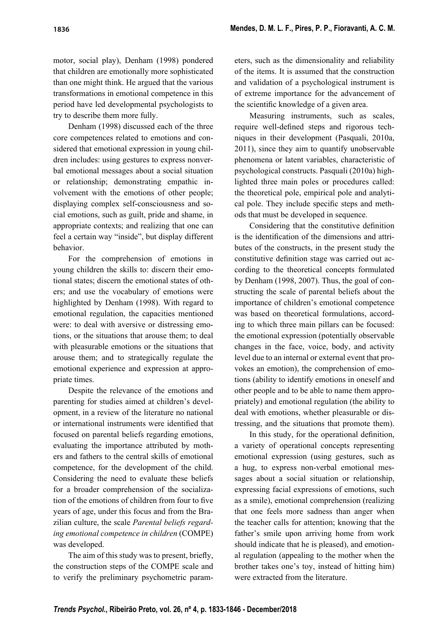# motor, social play), Denham (1998) pondered that children are emotionally more sophisticated than one might think. He argued that the various transformations in emotional competence in this period have led developmental psychologists to try to describe them more fully.

Denham (1998) discussed each of the three core competences related to emotions and considered that emotional expression in young children includes: using gestures to express nonverbal emotional messages about a social situation or relationship; demonstrating empathic involvement with the emotions of other people; displaying complex self-consciousness and social emotions, such as guilt, pride and shame, in appropriate contexts; and realizing that one can feel a certain way "inside", but display different behavior.

For the comprehension of emotions in young children the skills to: discern their emotional states; discern the emotional states of others; and use the vocabulary of emotions were highlighted by Denham (1998). With regard to emotional regulation, the capacities mentioned were: to deal with aversive or distressing emotions, or the situations that arouse them; to deal with pleasurable emotions or the situations that arouse them; and to strategically regulate the emotional experience and expression at appropriate times.

Despite the relevance of the emotions and parenting for studies aimed at children's development, in a review of the literature no national or international instruments were identified that focused on parental beliefs regarding emotions, evaluating the importance attributed by mothers and fathers to the central skills of emotional competence, for the development of the child. Considering the need to evaluate these beliefs for a broader comprehension of the socialization of the emotions of children from four to five years of age, under this focus and from the Brazilian culture, the scale *Parental beliefs regarding emotional competence in children* (COMPE) was developed.

The aim of this study was to present, briefly, the construction steps of the COMPE scale and to verify the preliminary psychometric parameters, such as the dimensionality and reliability of the items. It is assumed that the construction and validation of a psychological instrument is of extreme importance for the advancement of the scientific knowledge of a given area.

Measuring instruments, such as scales, require well-defined steps and rigorous techniques in their development (Pasquali, 2010a, 2011), since they aim to quantify unobservable phenomena or latent variables, characteristic of psychological constructs. Pasquali (2010a) highlighted three main poles or procedures called: the theoretical pole, empirical pole and analytical pole. They include specific steps and methods that must be developed in sequence.

Considering that the constitutive definition is the identification of the dimensions and attributes of the constructs, in the present study the constitutive definition stage was carried out according to the theoretical concepts formulated by Denham (1998, 2007). Thus, the goal of constructing the scale of parental beliefs about the importance of children's emotional competence was based on theoretical formulations, according to which three main pillars can be focused: the emotional expression (potentially observable changes in the face, voice, body, and activity level due to an internal or external event that provokes an emotion), the comprehension of emotions (ability to identify emotions in oneself and other people and to be able to name them appropriately) and emotional regulation (the ability to deal with emotions, whether pleasurable or distressing, and the situations that promote them).

In this study, for the operational definition, a variety of operational concepts representing emotional expression (using gestures, such as a hug, to express non-verbal emotional messages about a social situation or relationship, expressing facial expressions of emotions, such as a smile), emotional comprehension (realizing that one feels more sadness than anger when the teacher calls for attention; knowing that the father's smile upon arriving home from work should indicate that he is pleased), and emotional regulation (appealing to the mother when the brother takes one's toy, instead of hitting him) were extracted from the literature.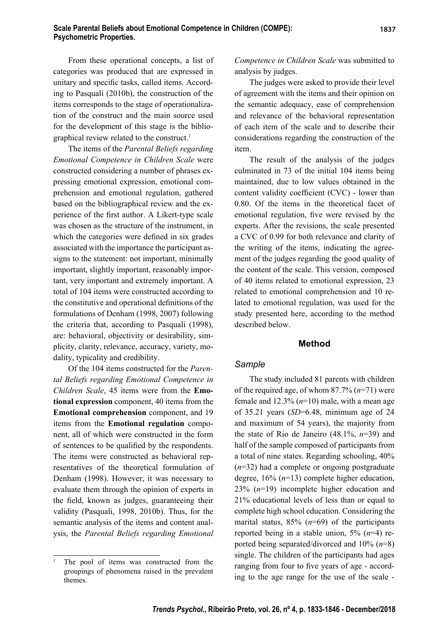From these operational concepts, a list of categories was produced that are expressed in unitary and specific tasks, called items. According to Pasquali (2010b), the construction of the items corresponds to the stage of operationalization of the construct and the main source used for the development of this stage is the bibliographical review related to the construct.<sup>1</sup>

The items of the *Parental Beliefs regarding Emotional Competence in Children Scale* were constructed considering a number of phrases expressing emotional expression, emotional comprehension and emotional regulation, gathered based on the bibliographical review and the experience of the first author. A Likert-type scale was chosen as the structure of the instrument, in which the categories were defined in six grades associated with the importance the participant assigns to the statement: not important, minimally important, slightly important, reasonably important, very important and extremely important. A total of 104 items were constructed according to the constitutive and operational definitions of the formulations of Denham (1998, 2007) following the criteria that, according to Pasquali (1998), are: behavioral, objectivity or desirability, simplicity, clarity, relevance, accuracy, variety, modality, typicality and credibility.

Of the 104 items constructed for the *Parental Beliefs regarding Emotional Competence in Children Scale*, 45 items were from the **Emotional expression** component, 40 items from the **Emotional comprehension** component, and 19 items from the **Emotional regulation** component, all of which were constructed in the form of sentences to be qualified by the respondents. The items were constructed as behavioral representatives of the theoretical formulation of Denham (1998). However, it was necessary to evaluate them through the opinion of experts in the field, known as judges, guaranteeing their validity (Pasquali, 1998, 2010b). Thus, for the semantic analysis of the items and content analysis, the *Parental Beliefs regarding Emotional*  *Competence in Children Scale* was submitted to analysis by judges.

The judges were asked to provide their level of agreement with the items and their opinion on the semantic adequacy, ease of comprehension and relevance of the behavioral representation of each item of the scale and to describe their considerations regarding the construction of the item.

The result of the analysis of the judges culminated in 73 of the initial 104 items being maintained, due to low values obtained in the content validity coefficient  $(CVC)$  - lower than 0.80. Of the items in the theoretical facet of emotional regulation, five were revised by the experts. After the revisions, the scale presented a CVC of 0.99 for both relevance and clarity of the writing of the items, indicating the agreement of the judges regarding the good quality of the content of the scale. This version, composed of 40 items related to emotional expression, 23 related to emotional comprehension and 10 related to emotional regulation, was used for the study presented here, according to the method described below.

### **Method**

#### *Sample*

The study included 81 parents with children of the required age, of whom 87.7% (*n*=71) were female and 12.3% (*n*=10) male, with a mean age of 35.21 years (*SD*=6.48, minimum age of 24 and maximum of 54 years), the majority from the state of Rio de Janeiro (48.1%, *n*=39) and half of the sample composed of participants from a total of nine states. Regarding schooling, 40% (*n*=32) had a complete or ongoing postgraduate degree, 16% (*n*=13) complete higher education, 23% (*n*=19) incomplete higher education and 21% educational levels of less than or equal to complete high school education. Considering the marital status, 85% (*n*=69) of the participants reported being in a stable union, 5% (*n*=4) reported being separated/divorced and 10% (*n*=8) single. The children of the participants had ages ranging from four to five years of age - according to the age range for the use of the scale -

<sup>1</sup> The pool of items was constructed from the groupings of phenomena raised in the prevalent themes.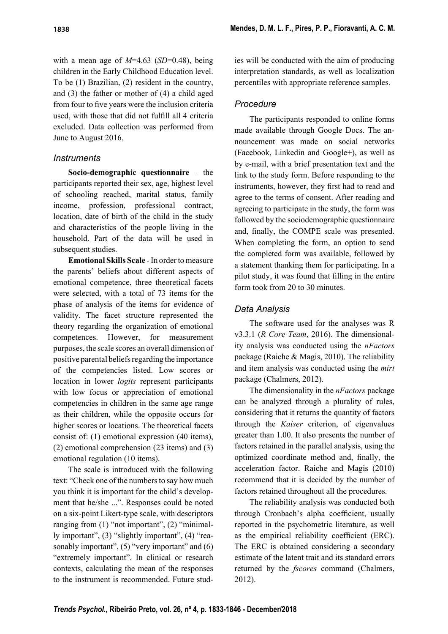with a mean age of *M*=4.63 (*SD*=0.48), being children in the Early Childhood Education level. To be (1) Brazilian, (2) resident in the country, and (3) the father or mother of (4) a child aged from four to five years were the inclusion criteria used, with those that did not fulfill all 4 criteria excluded. Data collection was performed from June to August 2016.

## *Instruments*

**Socio-demographic questionnaire** *–* the participants reported their sex, age, highest level of schooling reached, marital status, family income, profession, professional contract, location, date of birth of the child in the study and characteristics of the people living in the household. Part of the data will be used in subsequent studies.

**Emotional Skills Scale** *-* In order to measure the parents' beliefs about different aspects of emotional competence, three theoretical facets were selected, with a total of 73 items for the phase of analysis of the items for evidence of validity. The facet structure represented the theory regarding the organization of emotional competences. However, for measurement purposes, the scale scores an overall dimension of positive parental beliefs regarding the importance of the competencies listed. Low scores or location in lower *logits* represent participants with low focus or appreciation of emotional competencies in children in the same age range as their children, while the opposite occurs for higher scores or locations. The theoretical facets consist of: (1) emotional expression (40 items), (2) emotional comprehension (23 items) and (3) emotional regulation (10 items).

The scale is introduced with the following text: "Check one of the numbers to say how much you think it is important for the child's development that he/she ...". Responses could be noted on a six-point Likert-type scale, with descriptors ranging from (1) "not important", (2) "minimally important", (3) "slightly important", (4) "reasonably important", (5) "very important" and (6) "extremely important". In clinical or research contexts, calculating the mean of the responses to the instrument is recommended. Future studies will be conducted with the aim of producing interpretation standards, as well as localization percentiles with appropriate reference samples.

# *Procedure*

The participants responded to online forms made available through Google Docs. The announcement was made on social networks (Facebook, Linkedin and Google+), as well as by e-mail, with a brief presentation text and the link to the study form. Before responding to the instruments, however, they first had to read and agree to the terms of consent. After reading and agreeing to participate in the study, the form was followed by the sociodemographic questionnaire and, finally, the COMPE scale was presented. When completing the form, an option to send the completed form was available, followed by a statement thanking them for participating. In a pilot study, it was found that filling in the entire form took from 20 to 30 minutes.

# *Data Analysis*

The software used for the analyses was R v3.3.1 (*R Core Team*, 2016). The dimensionality analysis was conducted using the *nFactors* package (Raiche & Magis, 2010). The reliability and item analysis was conducted using the *mirt* package (Chalmers, 2012).

The dimensionality in the *nFactors* package can be analyzed through a plurality of rules, considering that it returns the quantity of factors through the *Kaiser* criterion, of eigenvalues greater than 1.00. It also presents the number of factors retained in the parallel analysis, using the optimized coordinate method and, finally, the acceleration factor. Raiche and Magis (2010) recommend that it is decided by the number of factors retained throughout all the procedures.

The reliability analysis was conducted both through Cronbach's alpha coefficient, usually reported in the psychometric literature, as well as the empirical reliability coefficient (ERC). The ERC is obtained considering a secondary estimate of the latent trait and its standard errors returned by the *fscores* command (Chalmers, 2012).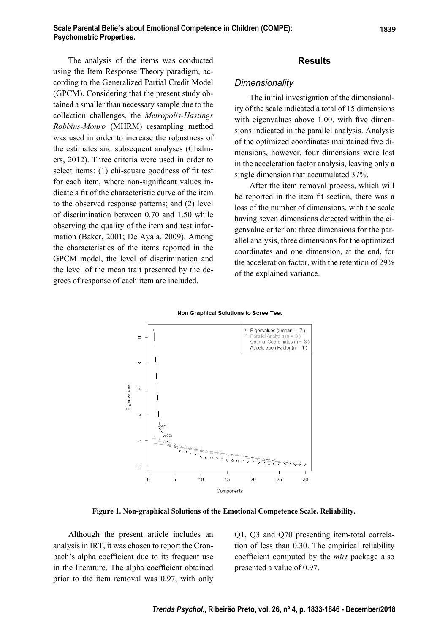The analysis of the items was conducted using the Item Response Theory paradigm, according to the Generalized Partial Credit Model (GPCM). Considering that the present study obtained a smaller than necessary sample due to the collection challenges, the *Metropolis-Hastings Robbins-Monro* (MHRM) resampling method was used in order to increase the robustness of the estimates and subsequent analyses (Chalmers, 2012). Three criteria were used in order to select items:  $(1)$  chi-square goodness of fit test for each item, where non-significant values indicate a fit of the characteristic curve of the item to the observed response patterns; and (2) level of discrimination between 0.70 and 1.50 while observing the quality of the item and test information (Baker, 2001; De Ayala, 2009). Among the characteristics of the items reported in the GPCM model, the level of discrimination and the level of the mean trait presented by the degrees of response of each item are included.

#### **Results**

#### *Dimensionality*

The initial investigation of the dimensionality of the scale indicated a total of 15 dimensions with eigenvalues above  $1.00$ , with five dimensions indicated in the parallel analysis. Analysis of the optimized coordinates maintained five dimensions, however, four dimensions were lost in the acceleration factor analysis, leaving only a single dimension that accumulated 37%.

After the item removal process, which will be reported in the item fit section, there was a loss of the number of dimensions, with the scale having seven dimensions detected within the eigenvalue criterion: three dimensions for the parallel analysis, three dimensions for the optimized coordinates and one dimension, at the end, for the acceleration factor, with the retention of 29% of the explained variance.





**Figure 1. Non-graphical Solutions of the Emotional Competence Scale. Reliability.**

Although the present article includes an analysis in IRT, it was chosen to report the Cronbach's alpha coefficient due to its frequent use in the literature. The alpha coefficient obtained prior to the item removal was 0.97, with only

Q1, Q3 and Q70 presenting item-total correlation of less than 0.30. The empirical reliability coefficient computed by the *mirt* package also presented a value of 0.97.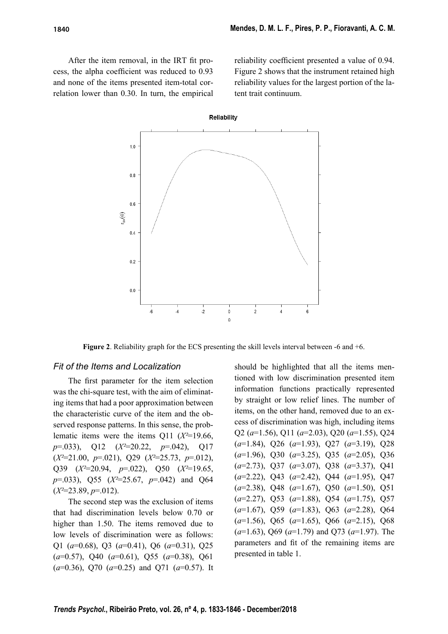After the item removal, in the IRT fit process, the alpha coefficient was reduced to 0.93 and none of the items presented item-total correlation lower than 0.30. In turn, the empirical reliability coefficient presented a value of 0.94. Figure 2 shows that the instrument retained high reliability values for the largest portion of the latent trait continuum.



**Figure 2**. Reliability graph for the ECS presenting the skill levels interval between -6 and +6.

#### *Fit of the Items and Localization*

The first parameter for the item selection was the chi-square test, with the aim of eliminating items that had a poor approximation between the characteristic curve of the item and the observed response patterns. In this sense, the problematic items were the items Q11 (*X²*=19.66, *p*=.033), Q12 (*X²*=20.22, *p*=.042), Q17 (*X²*=21.00, *p*=.021), Q29 (*X²*=25.73, *p*=.012), Q39 (*X²*=20.94, *p*=.022), Q50 (*X²*=19.65, *p*=.033), Q55 (*X²*=25.67, *p*=.042) and Q64 (*X²*=23.89, *p*=.012).

The second step was the exclusion of items that had discrimination levels below 0.70 or higher than 1.50. The items removed due to low levels of discrimination were as follows: Q1 (*a*=0.68), Q3 (*a*=0.41), Q6 (*a*=0.31), Q25 (*a*=0.57), Q40 (*a*=0.61), Q55 (*a*=0.38), Q61 (*a*=0.36), Q70 (*a*=0.25) and Q71 (*a*=0.57). It should be highlighted that all the items mentioned with low discrimination presented item information functions practically represented by straight or low relief lines. The number of items, on the other hand, removed due to an excess of discrimination was high, including items Q2 (*a*=1.56), Q11 (*a*=2.03), Q20 (*a*=1.55), Q24 (*a*=1.84), Q26 (*a*=1.93), Q27 (*a*=3.19), Q28 (*a*=1.96), Q30 (*a*=3.25), Q35 (*a*=2.05), Q36 (*a*=2.73), Q37 (*a*=3.07), Q38 (*a*=3.37), Q41 (*a*=2.22), Q43 (*a*=2.42), Q44 (*a*=1.95), Q47 (*a*=2.38), Q48 (*a*=1.67), Q50 (*a*=1.50), Q51 (*a*=2.27), Q53 (*a*=1.88), Q54 (*a*=1.75), Q57 (*a*=1.67), Q59 (*a*=1.83), Q63 (*a*=2.28), Q64 (*a*=1.56), Q65 (*a*=1.65), Q66 (*a*=2.15), Q68 (*a*=1.63), Q69 (*a*=1.79) and Q73 (*a*=1.97). The parameters and fit of the remaining items are presented in table 1.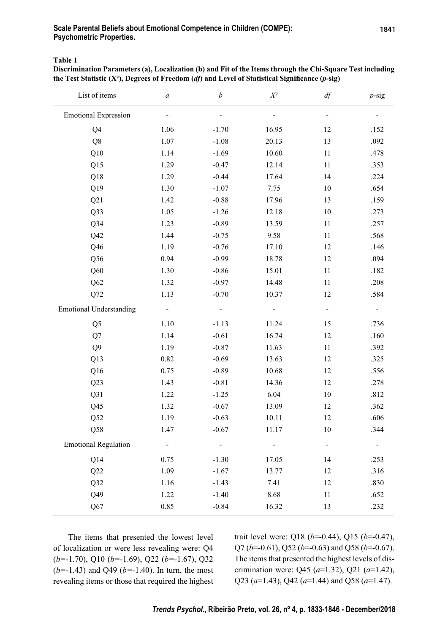### **Scale Parental Beliefs about Emotional Competence in Children (COMPE): Psychometric Properties.**

**Table 1**

**Discrimination Parameters (a), Localization (b) and Fit of the Items through the Chi-Square Test including**  the Test Statistic (X<sup>2</sup>), Degrees of Freedom (*df*) and Level of Statistical Significance (*p*-sig)

| List of items                  | $\boldsymbol{a}$ | $\boldsymbol{b}$         | $X^{\scriptscriptstyle 2}$ | df                           | $p$ -sig |
|--------------------------------|------------------|--------------------------|----------------------------|------------------------------|----------|
| <b>Emotional Expression</b>    |                  | $\overline{\phantom{0}}$ |                            | $\qquad \qquad \blacksquare$ |          |
| Q4                             | 1.06             | $-1.70$                  | 16.95                      | 12                           | .152     |
| Q8                             | 1.07             | $-1.08$                  | 20.13                      | 13                           | .092     |
| Q10                            | 1.14             | $-1.69$                  | 10.60                      | 11                           | .478     |
| Q15                            | 1.29             | $-0.47$                  | 12.14                      | 11                           | .353     |
| Q18                            | 1.29             | $-0.44$                  | 17.64                      | 14                           | .224     |
| Q19                            | 1.30             | $-1.07$                  | 7.75                       | 10                           | .654     |
| Q21                            | 1.42             | $-0.88$                  | 17.96                      | 13                           | .159     |
| Q33                            | 1.05             | $-1.26$                  | 12.18                      | 10                           | .273     |
| $Q$ 34                         | 1.23             | $-0.89$                  | 13.59                      | 11                           | .257     |
| Q42                            | 1.44             | $-0.75$                  | 9.58                       | 11                           | .568     |
| Q46                            | 1.19             | $-0.76$                  | 17.10                      | 12                           | .146     |
| Q <sub>56</sub>                | 0.94             | $-0.99$                  | 18.78                      | 12                           | .094     |
| Q60                            | 1.30             | $-0.86$                  | 15.01                      | 11                           | .182     |
| Q <sub>62</sub>                | 1.32             | $-0.97$                  | 14.48                      | 11                           | .208     |
| Q72                            | 1.13             | $-0.70$                  | 10.37                      | 12                           | .584     |
| <b>Emotional Understanding</b> |                  |                          |                            |                              |          |
| Q <sub>5</sub>                 | 1.10             | $-1.13$                  | 11.24                      | 15                           | .736     |
| Q7                             | 1.14             | $-0.61$                  | 16.74                      | 12                           | .160     |
| Q <sub>9</sub>                 | 1.19             | $-0.87$                  | 11.63                      | 11                           | .392     |
| Q13                            | 0.82             | $-0.69$                  | 13.63                      | 12                           | .325     |
| Q16                            | 0.75             | $-0.89$                  | 10.68                      | 12                           | .556     |
| Q23                            | 1.43             | $-0.81$                  | 14.36                      | 12                           | .278     |
| Q31                            | 1.22             | $-1.25$                  | 6.04                       | 10                           | .812     |
| Q45                            | 1.32             | $-0.67$                  | 13.09                      | 12                           | .362     |
| $\rm Q52$                      | 1.19             | $-0.63$                  | 10.11                      | 12                           | .606     |
| Q58                            | 1.47             | $-0.67$                  | 11.17                      | 10                           | .344     |
| <b>Emotional Regulation</b>    |                  | -                        |                            |                              |          |
| Q14                            | 0.75             | $-1.30$                  | 17.05                      | 14                           | .253     |
| Q22                            | 1.09             | $-1.67$                  | 13.77                      | 12                           | .316     |
| Q32                            | 1.16             | $-1.43$                  | 7.41                       | 12                           | .830     |
| Q49                            | 1.22             | $-1.40$                  | 8.68                       | 11                           | .652     |
| Q67                            | 0.85             | $-0.84$                  | 16.32                      | 13                           | .232     |

The items that presented the lowest level of localization or were less revealing were: Q4 (*b=*-1.70), Q10 (*b=*-1.69), Q22 (*b=*-1.67), Q32 (*b=*-1.43) and Q49 (*b=*-1.40). In turn, the most revealing items or those that required the highest trait level were: Q18 (*b*=-0.44), Q15 (*b*=-0.47), Q7 (*b*=-0.61), Q52 (*b*=-0.63) and Q58 (*b*=-0.67). The items that presented the highest levels of discrimination were: Q45 (*a*=1.32), Q21 (*a*=1.42), Q23 (*a*=1.43), Q42 (*a*=1.44) and Q58 (*a*=1.47).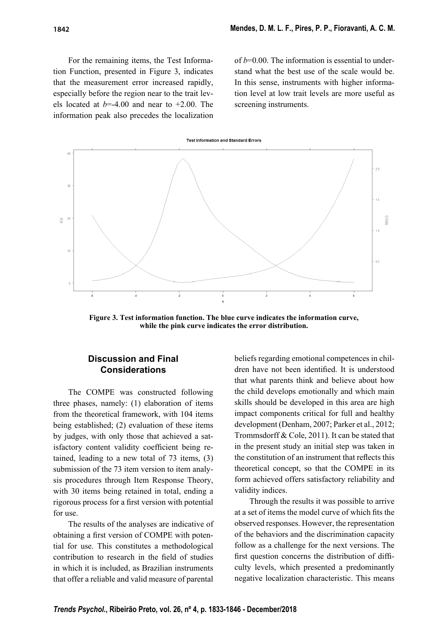For the remaining items, the Test Information Function, presented in Figure 3, indicates that the measurement error increased rapidly, especially before the region near to the trait levels located at *b*=-4.00 and near to +2.00. The information peak also precedes the localization

of  $b=0.00$ . The information is essential to understand what the best use of the scale would be. In this sense, instruments with higher information level at low trait levels are more useful as screening instruments.



**Figure 3. Test information function. The blue curve indicates the information curve, while the pink curve indicates the error distribution.**

# **Discussion and Final Considerations**

The COMPE was constructed following three phases, namely: (1) elaboration of items from the theoretical framework, with 104 items being established; (2) evaluation of these items by judges, with only those that achieved a satisfactory content validity coefficient being retained, leading to a new total of 73 items, (3) submission of the 73 item version to item analysis procedures through Item Response Theory, with 30 items being retained in total, ending a rigorous process for a first version with potential for use.

The results of the analyses are indicative of obtaining a first version of COMPE with potential for use. This constitutes a methodological contribution to research in the field of studies in which it is included, as Brazilian instruments that offer a reliable and valid measure of parental

beliefs regarding emotional competences in children have not been identified. It is understood that what parents think and believe about how the child develops emotionally and which main skills should be developed in this area are high impact components critical for full and healthy development (Denham, 2007; Parker et al., 2012; Trommsdorff & Cole, 2011). It can be stated that in the present study an initial step was taken in the constitution of an instrument that reflects this theoretical concept, so that the COMPE in its form achieved offers satisfactory reliability and validity indices.

Through the results it was possible to arrive at a set of items the model curve of which fits the observed responses. However, the representation of the behaviors and the discrimination capacity follow as a challenge for the next versions. The first question concerns the distribution of difficulty levels, which presented a predominantly negative localization characteristic. This means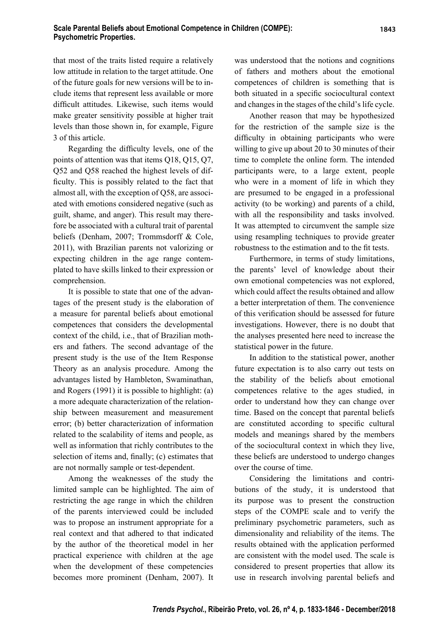### **Scale Parental Beliefs about Emotional Competence in Children (COMPE): Psychometric Properties.**

that most of the traits listed require a relatively low attitude in relation to the target attitude. One of the future goals for new versions will be to include items that represent less available or more difficult attitudes. Likewise, such items would make greater sensitivity possible at higher trait levels than those shown in, for example, Figure 3 of this article.

Regarding the difficulty levels, one of the points of attention was that items Q18, Q15, Q7, Q52 and Q58 reached the highest levels of difficulty. This is possibly related to the fact that almost all, with the exception of Q58, are associated with emotions considered negative (such as guilt, shame, and anger). This result may therefore be associated with a cultural trait of parental beliefs (Denham, 2007; Trommsdorff & Cole, 2011), with Brazilian parents not valorizing or expecting children in the age range contemplated to have skills linked to their expression or comprehension.

It is possible to state that one of the advantages of the present study is the elaboration of a measure for parental beliefs about emotional competences that considers the developmental context of the child, i.e., that of Brazilian mothers and fathers. The second advantage of the present study is the use of the Item Response Theory as an analysis procedure. Among the advantages listed by Hambleton, Swaminathan, and Rogers (1991) it is possible to highlight: (a) a more adequate characterization of the relationship between measurement and measurement error; (b) better characterization of information related to the scalability of items and people, as well as information that richly contributes to the selection of items and, finally; (c) estimates that are not normally sample or test-dependent.

Among the weaknesses of the study the limited sample can be highlighted. The aim of restricting the age range in which the children of the parents interviewed could be included was to propose an instrument appropriate for a real context and that adhered to that indicated by the author of the theoretical model in her practical experience with children at the age when the development of these competencies becomes more prominent (Denham, 2007). It was understood that the notions and cognitions of fathers and mothers about the emotional competences of children is something that is both situated in a specific sociocultural context and changes in the stages of the child's life cycle.

Another reason that may be hypothesized for the restriction of the sample size is the difficulty in obtaining participants who were willing to give up about 20 to 30 minutes of their time to complete the online form. The intended participants were, to a large extent, people who were in a moment of life in which they are presumed to be engaged in a professional activity (to be working) and parents of a child, with all the responsibility and tasks involved. It was attempted to circumvent the sample size using resampling techniques to provide greater robustness to the estimation and to the fit tests.

Furthermore, in terms of study limitations, the parents' level of knowledge about their own emotional competencies was not explored, which could affect the results obtained and allow a better interpretation of them. The convenience of this verification should be assessed for future investigations. However, there is no doubt that the analyses presented here need to increase the statistical power in the future.

In addition to the statistical power, another future expectation is to also carry out tests on the stability of the beliefs about emotional competences relative to the ages studied, in order to understand how they can change over time. Based on the concept that parental beliefs are constituted according to specific cultural models and meanings shared by the members of the sociocultural context in which they live, these beliefs are understood to undergo changes over the course of time.

Considering the limitations and contributions of the study, it is understood that its purpose was to present the construction steps of the COMPE scale and to verify the preliminary psychometric parameters, such as dimensionality and reliability of the items. The results obtained with the application performed are consistent with the model used. The scale is considered to present properties that allow its use in research involving parental beliefs and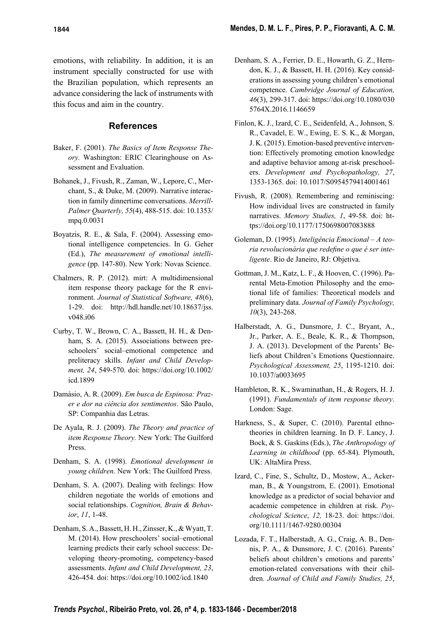emotions, with reliability. In addition, it is an instrument specially constructed for use with the Brazilian population, which represents an advance considering the lack of instruments with this focus and aim in the country.

### **References**

- Baker, F. (2001). *The Basics of Item Response Theory.* Washington: ERIC Clearinghouse on Assessment and Evaluation.
- Bohanek, J., Fivush, R., Zaman, W., Lepore, C., Merchant, S., & Duke, M. (2009). Narrative interaction in family dinnertime conversations. *Merrill-Palmer Quarterly, 55*(4), 488-515. doi: 10.1353/ mpq.0.0031
- Boyatzis, R. E., & Sala, F. (2004). Assessing emotional intelligence competencies. In G. Geher (Ed.), *The measurement of emotional intelligence* (pp. 147-80). New York: Novas Science.
- Chalmers, R. P. (2012). mirt: A multidimensional item response theory package for the R environment. *Journal of Statistical Software, 48*(6), 1-29. doi: http://hdl.handle.net/10.18637/jss. v048.i06
- Curby, T. W., Brown, C. A., Bassett, H. H., & Denham, S. A. (2015). Associations between preschoolers' social–emotional competence and preliteracy skills. *Infant and Child Development, 24*, 549-570. doi: https://doi.org/10.1002/ icd.1899
- Damásio, A. R. (2009). *Em busca de Espinosa: Prazer e dor na ciência dos sentimentos*. São Paulo, SP: Companhia das Letras.
- De Ayala, R. J. (2009). *The Theory and practice of item Response Theory.* New York: The Guilford Press.
- Denham, S. A. (1998). *Emotional development in young children*. New York: The Guilford Press.
- Denham, S. A. (2007). Dealing with feelings: How children negotiate the worlds of emotions and social relationships. *Cognition, Brain & Behavior*, *11*, 1-48.
- Denham, S. A., Bassett, H. H., Zinsser, K., & Wyatt, T. M. (2014). How preschoolers' social–emotional learning predicts their early school success: Developing theory-promoting, competency-based assessments. *Infant and Child Development, 23*, 426-454. doi: https://doi.org/10.1002/icd.1840
- Denham, S. A., Ferrier, D. E., Howarth, G. Z., Herndon, K. J., & Bassett, H. H. (2016). Key considerations in assessing young children's emotional competence. *Cambridge Journal of Education, 46*(3), 299-317. doi: https://doi.org/10.1080/030 5764X.2016.1146659
- Finlon, K. J., Izard, C. E., Seidenfeld, A., Johnson, S. R., Cavadel, E. W., Ewing, E. S. K., & Morgan, J. K. (2015). Emotion-based preventive intervention: Effectively promoting emotion knowledge and adaptive behavior among at-risk preschoolers. *Development and Psychopathology, 27*, 1353-1365. doi: 10.1017/S0954579414001461
- Fivush, R. (2008). Remembering and reminiscing: How individual lives are constructed in family narratives. *Memory Studies, 1*, 49-58. doi: https://doi.org/10.1177/1750698007083888
- Goleman, D. (1995). *Inteligência Emocional A teo*ria revolucionária que redefine o que é ser inte*ligente*. Rio de Janeiro, RJ: Objetiva.
- Gottman, J. M., Katz, L. F., & Hooven, C. (1996). Parental Meta-Emotion Philosophy and the emotional life of families: Theoretical models and preliminary data. *Journal of Family Psychology, 10*(3), 243-268.
- Halberstadt, A. G., Dunsmore, J. C., Bryant, A., Jr., Parker, A. E., Beale, K. R., & Thompson, J. A. (2013). Development of the Parents' Beliefs about Children's Emotions Questionnaire. *Psychological Assessment, 25*, 1195-1210. doi: 10.1037/a0033695
- Hambleton, R. K., Swaminathan, H., & Rogers, H. J. (1991). *Fundamentals of item response theory*. London: Sage.
- Harkness, S., & Super, C. (2010). Parental ethnotheories in children learning. In D. F. Lancy, J. Bock, & S. Gaskins (Eds.), *The Anthropology of Learning in childhood* (pp. 65-84). Plymouth, UK: AltaMira Press.
- Izard, C., Fine, S., Schultz, D., Mostow, A., Ackerman, B., & Youngstrom, E. (2001). Emotional knowledge as a predictor of social behavior and academic competence in children at risk. *Psychological Science*, *12,* 18-23. doi: https://doi. org/10.1111/1467-9280.00304
- Lozada, F. T., Halberstadt, A. G., Craig, A. B., Dennis, P. A., & Dunsmore, J. C. (2016). Parents' beliefs about children's emotions and parents' emotion-related conversations with their children. *Journal of Child and Family Studies, 25*,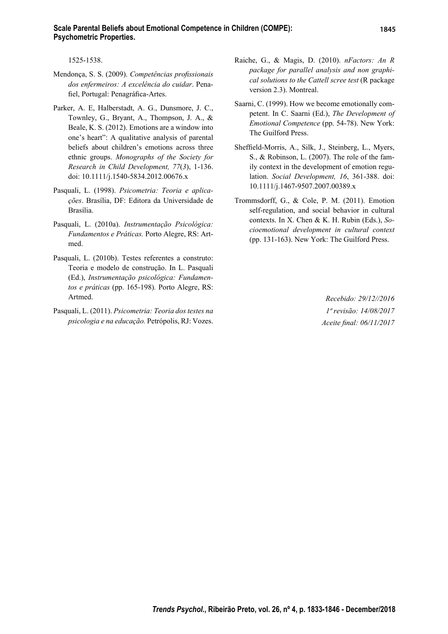1525-1538.

- Mendonça, S. S. (2009). Competências profissionais *dos enfermeiros: A excelência do cuidar*. Penafiel, Portugal: Penagráfica-Artes.
- Parker, A. E, Halberstadt, A. G., Dunsmore, J. C., Townley, G., Bryant, A., Thompson, J. A., & Beale, K. S. (2012). Emotions are a window into one's heart": A qualitative analysis of parental beliefs about children's emotions across three ethnic groups. *Monographs of the Society for Research in Child Development, 77*(*3*), 1-136. doi: 10.1111/j.1540-5834.2012.00676.x
- Pasquali, L. (1998). *Psicometria: Teoria e aplicações*. Brasília, DF: Editora da Universidade de Brasília.
- Pasquali, L. (2010a). *Instrumentação Psicológica: Fundamentos e Práticas.* Porto Alegre, RS: Artmed.
- Pasquali, L. (2010b). Testes referentes a construto: Teoria e modelo de construção. In L. Pasquali (Ed.), *Instrumentação psicológica: Fundamentos e práticas* (pp. 165-198)*.* Porto Alegre, RS: Artmed.
- Pasquali, L. (2011). *Psicometria: Teoria dos testes na psicologia e na educação.* Petrópolis, RJ: Vozes.
- Raiche, G., & Magis, D. (2010). *nFactors: An R package for parallel analysis and non graphical solutions to the Cattell scree test* (R package version 2.3). Montreal.
- Saarni, C. (1999). How we become emotionally competent. In C. Saarni (Ed.), *The Development of Emotional Competence* (pp. 54-78). New York: The Guilford Press.
- Sheffield-Morris, A., Silk, J., Steinberg, L., Myers, S., & Robinson, L. (2007). The role of the family context in the development of emotion regulation. *Social Development, 16*, 361-388. doi: 10.1111/j.1467-9507.2007.00389.x
- Trommsdorff, G., & Cole, P. M. (2011). Emotion self-regulation, and social behavior in cultural contexts. In X. Chen & K. H. Rubin (Eds.), *Socioemotional development in cultural context*  (pp. 131-163). New York: The Guilford Press.

*Recebido: 29/12//2016 1ª revisão: 14/08/2017 Aceite fi nal: 06/11/2017*